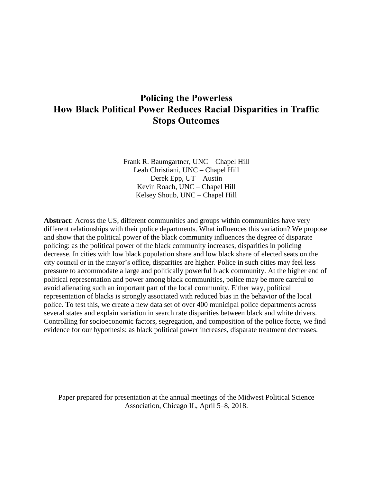# **Policing the Powerless How Black Political Power Reduces Racial Disparities in Traffic Stops Outcomes**

Frank R. Baumgartner, UNC – Chapel Hill Leah Christiani, UNC – Chapel Hill Derek Epp, UT – Austin Kevin Roach, UNC – Chapel Hill Kelsey Shoub, UNC – Chapel Hill

**Abstract**: Across the US, different communities and groups within communities have very different relationships with their police departments. What influences this variation? We propose and show that the political power of the black community influences the degree of disparate policing: as the political power of the black community increases, disparities in policing decrease. In cities with low black population share and low black share of elected seats on the city council or in the mayor's office, disparities are higher. Police in such cities may feel less pressure to accommodate a large and politically powerful black community. At the higher end of political representation and power among black communities, police may be more careful to avoid alienating such an important part of the local community. Either way, political representation of blacks is strongly associated with reduced bias in the behavior of the local police. To test this, we create a new data set of over 400 municipal police departments across several states and explain variation in search rate disparities between black and white drivers. Controlling for socioeconomic factors, segregation, and composition of the police force, we find evidence for our hypothesis: as black political power increases, disparate treatment decreases.

Paper prepared for presentation at the annual meetings of the Midwest Political Science Association, Chicago IL, April 5–8, 2018.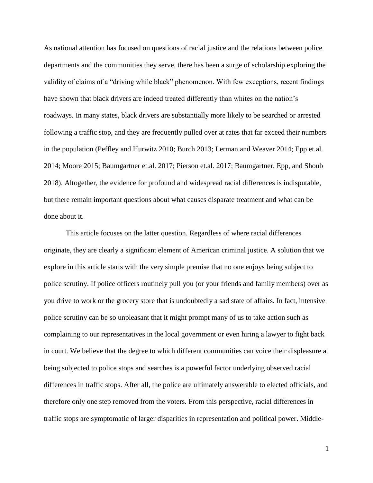As national attention has focused on questions of racial justice and the relations between police departments and the communities they serve, there has been a surge of scholarship exploring the validity of claims of a "driving while black" phenomenon. With few exceptions, recent findings have shown that black drivers are indeed treated differently than whites on the nation's roadways. In many states, black drivers are substantially more likely to be searched or arrested following a traffic stop, and they are frequently pulled over at rates that far exceed their numbers in the population (Peffley and Hurwitz 2010; Burch 2013; Lerman and Weaver 2014; Epp et.al. 2014; Moore 2015; Baumgartner et.al. 2017; Pierson et.al. 2017; Baumgartner, Epp, and Shoub 2018). Altogether, the evidence for profound and widespread racial differences is indisputable, but there remain important questions about what causes disparate treatment and what can be done about it.

This article focuses on the latter question. Regardless of where racial differences originate, they are clearly a significant element of American criminal justice. A solution that we explore in this article starts with the very simple premise that no one enjoys being subject to police scrutiny. If police officers routinely pull you (or your friends and family members) over as you drive to work or the grocery store that is undoubtedly a sad state of affairs. In fact, intensive police scrutiny can be so unpleasant that it might prompt many of us to take action such as complaining to our representatives in the local government or even hiring a lawyer to fight back in court. We believe that the degree to which different communities can voice their displeasure at being subjected to police stops and searches is a powerful factor underlying observed racial differences in traffic stops. After all, the police are ultimately answerable to elected officials, and therefore only one step removed from the voters. From this perspective, racial differences in traffic stops are symptomatic of larger disparities in representation and political power. Middle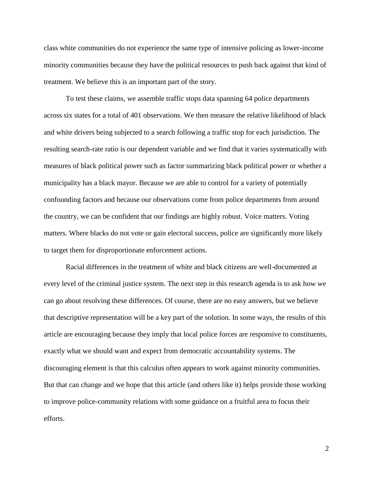class white communities do not experience the same type of intensive policing as lower-income minority communities because they have the political resources to push back against that kind of treatment. We believe this is an important part of the story.

To test these claims, we assemble traffic stops data spanning 64 police departments across six states for a total of 401 observations. We then measure the relative likelihood of black and white drivers being subjected to a search following a traffic stop for each jurisdiction. The resulting search-rate ratio is our dependent variable and we find that it varies systematically with measures of black political power such as factor summarizing black political power or whether a municipality has a black mayor. Because we are able to control for a variety of potentially confounding factors and because our observations come from police departments from around the country, we can be confident that our findings are highly robust. Voice matters. Voting matters. Where blacks do not vote or gain electoral success, police are significantly more likely to target them for disproportionate enforcement actions.

Racial differences in the treatment of white and black citizens are well-documented at every level of the criminal justice system. The next step in this research agenda is to ask how we can go about resolving these differences. Of course, there are no easy answers, but we believe that descriptive representation will be a key part of the solution. In some ways, the results of this article are encouraging because they imply that local police forces are responsive to constituents, exactly what we should want and expect from democratic accountability systems. The discouraging element is that this calculus often appears to work against minority communities. But that can change and we hope that this article (and others like it) helps provide those working to improve police-community relations with some guidance on a fruitful area to focus their efforts.

2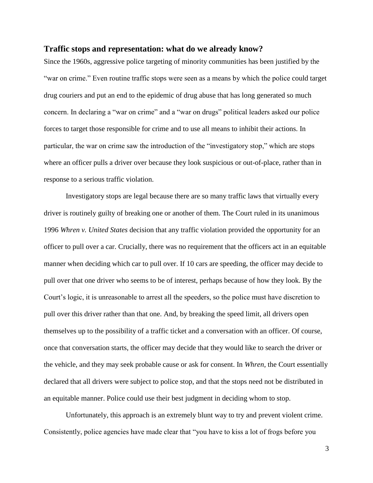#### **Traffic stops and representation: what do we already know?**

Since the 1960s, aggressive police targeting of minority communities has been justified by the "war on crime." Even routine traffic stops were seen as a means by which the police could target drug couriers and put an end to the epidemic of drug abuse that has long generated so much concern. In declaring a "war on crime" and a "war on drugs" political leaders asked our police forces to target those responsible for crime and to use all means to inhibit their actions. In particular, the war on crime saw the introduction of the "investigatory stop," which are stops where an officer pulls a driver over because they look suspicious or out-of-place, rather than in response to a serious traffic violation.

Investigatory stops are legal because there are so many traffic laws that virtually every driver is routinely guilty of breaking one or another of them. The Court ruled in its unanimous 1996 *Whren v. United States* decision that any traffic violation provided the opportunity for an officer to pull over a car. Crucially, there was no requirement that the officers act in an equitable manner when deciding which car to pull over. If 10 cars are speeding, the officer may decide to pull over that one driver who seems to be of interest, perhaps because of how they look. By the Court's logic, it is unreasonable to arrest all the speeders, so the police must have discretion to pull over this driver rather than that one. And, by breaking the speed limit, all drivers open themselves up to the possibility of a traffic ticket and a conversation with an officer. Of course, once that conversation starts, the officer may decide that they would like to search the driver or the vehicle, and they may seek probable cause or ask for consent. In *Whren*, the Court essentially declared that all drivers were subject to police stop, and that the stops need not be distributed in an equitable manner. Police could use their best judgment in deciding whom to stop.

Unfortunately, this approach is an extremely blunt way to try and prevent violent crime. Consistently, police agencies have made clear that "you have to kiss a lot of frogs before you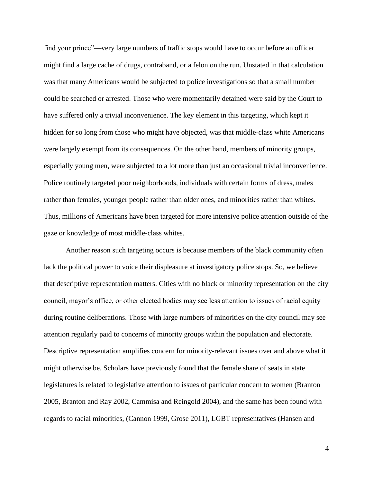find your prince"—very large numbers of traffic stops would have to occur before an officer might find a large cache of drugs, contraband, or a felon on the run. Unstated in that calculation was that many Americans would be subjected to police investigations so that a small number could be searched or arrested. Those who were momentarily detained were said by the Court to have suffered only a trivial inconvenience. The key element in this targeting, which kept it hidden for so long from those who might have objected, was that middle-class white Americans were largely exempt from its consequences. On the other hand, members of minority groups, especially young men, were subjected to a lot more than just an occasional trivial inconvenience. Police routinely targeted poor neighborhoods, individuals with certain forms of dress, males rather than females, younger people rather than older ones, and minorities rather than whites. Thus, millions of Americans have been targeted for more intensive police attention outside of the gaze or knowledge of most middle-class whites.

Another reason such targeting occurs is because members of the black community often lack the political power to voice their displeasure at investigatory police stops. So, we believe that descriptive representation matters. Cities with no black or minority representation on the city council, mayor's office, or other elected bodies may see less attention to issues of racial equity during routine deliberations. Those with large numbers of minorities on the city council may see attention regularly paid to concerns of minority groups within the population and electorate. Descriptive representation amplifies concern for minority-relevant issues over and above what it might otherwise be. Scholars have previously found that the female share of seats in state legislatures is related to legislative attention to issues of particular concern to women (Branton 2005, Branton and Ray 2002, Cammisa and Reingold 2004), and the same has been found with regards to racial minorities, (Cannon 1999, Grose 2011), LGBT representatives (Hansen and

4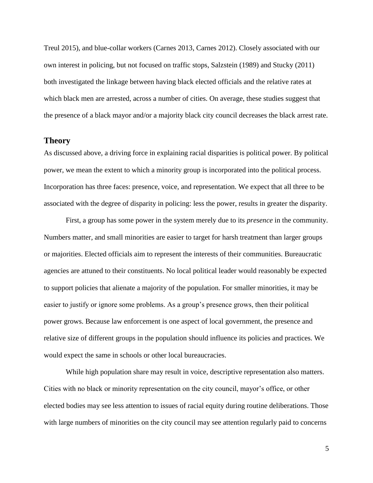Treul 2015), and blue-collar workers (Carnes 2013, Carnes 2012). Closely associated with our own interest in policing, but not focused on traffic stops, Salzstein (1989) and Stucky (2011) both investigated the linkage between having black elected officials and the relative rates at which black men are arrested, across a number of cities. On average, these studies suggest that the presence of a black mayor and/or a majority black city council decreases the black arrest rate.

### **Theory**

As discussed above, a driving force in explaining racial disparities is political power. By political power, we mean the extent to which a minority group is incorporated into the political process. Incorporation has three faces: presence, voice, and representation. We expect that all three to be associated with the degree of disparity in policing: less the power, results in greater the disparity.

First, a group has some power in the system merely due to its *presence* in the community. Numbers matter, and small minorities are easier to target for harsh treatment than larger groups or majorities. Elected officials aim to represent the interests of their communities. Bureaucratic agencies are attuned to their constituents. No local political leader would reasonably be expected to support policies that alienate a majority of the population. For smaller minorities, it may be easier to justify or ignore some problems. As a group's presence grows, then their political power grows. Because law enforcement is one aspect of local government, the presence and relative size of different groups in the population should influence its policies and practices. We would expect the same in schools or other local bureaucracies.

While high population share may result in voice, descriptive representation also matters. Cities with no black or minority representation on the city council, mayor's office, or other elected bodies may see less attention to issues of racial equity during routine deliberations. Those with large numbers of minorities on the city council may see attention regularly paid to concerns

5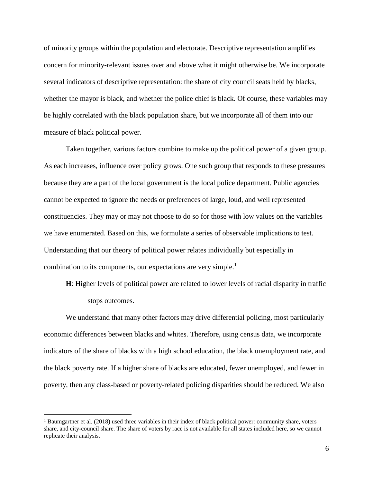of minority groups within the population and electorate. Descriptive representation amplifies concern for minority-relevant issues over and above what it might otherwise be. We incorporate several indicators of descriptive representation: the share of city council seats held by blacks, whether the mayor is black, and whether the police chief is black. Of course, these variables may be highly correlated with the black population share, but we incorporate all of them into our measure of black political power.

Taken together, various factors combine to make up the political power of a given group. As each increases, influence over policy grows. One such group that responds to these pressures because they are a part of the local government is the local police department. Public agencies cannot be expected to ignore the needs or preferences of large, loud, and well represented constituencies. They may or may not choose to do so for those with low values on the variables we have enumerated. Based on this, we formulate a series of observable implications to test. Understanding that our theory of political power relates individually but especially in combination to its components, our expectations are very simple.<sup>1</sup>

**H**: Higher levels of political power are related to lower levels of racial disparity in traffic stops outcomes.

We understand that many other factors may drive differential policing, most particularly economic differences between blacks and whites. Therefore, using census data, we incorporate indicators of the share of blacks with a high school education, the black unemployment rate, and the black poverty rate. If a higher share of blacks are educated, fewer unemployed, and fewer in poverty, then any class-based or poverty-related policing disparities should be reduced. We also

 $\overline{a}$ 

<sup>&</sup>lt;sup>1</sup> Baumgartner et al. (2018) used three variables in their index of black political power: community share, voters share, and city-council share. The share of voters by race is not available for all states included here, so we cannot replicate their analysis.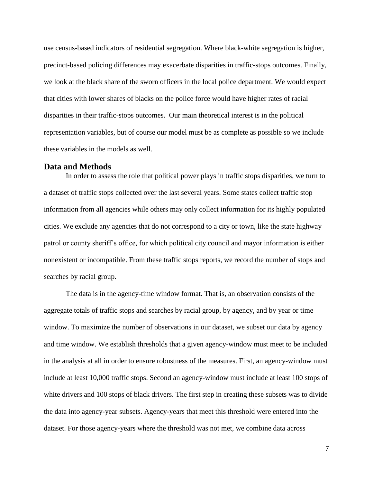use census-based indicators of residential segregation. Where black-white segregation is higher, precinct-based policing differences may exacerbate disparities in traffic-stops outcomes. Finally, we look at the black share of the sworn officers in the local police department. We would expect that cities with lower shares of blacks on the police force would have higher rates of racial disparities in their traffic-stops outcomes. Our main theoretical interest is in the political representation variables, but of course our model must be as complete as possible so we include these variables in the models as well.

#### **Data and Methods**

In order to assess the role that political power plays in traffic stops disparities, we turn to a dataset of traffic stops collected over the last several years. Some states collect traffic stop information from all agencies while others may only collect information for its highly populated cities. We exclude any agencies that do not correspond to a city or town, like the state highway patrol or county sheriff's office, for which political city council and mayor information is either nonexistent or incompatible. From these traffic stops reports, we record the number of stops and searches by racial group.

The data is in the agency-time window format. That is, an observation consists of the aggregate totals of traffic stops and searches by racial group, by agency, and by year or time window. To maximize the number of observations in our dataset, we subset our data by agency and time window. We establish thresholds that a given agency-window must meet to be included in the analysis at all in order to ensure robustness of the measures. First, an agency-window must include at least 10,000 traffic stops. Second an agency-window must include at least 100 stops of white drivers and 100 stops of black drivers. The first step in creating these subsets was to divide the data into agency-year subsets. Agency-years that meet this threshold were entered into the dataset. For those agency-years where the threshold was not met, we combine data across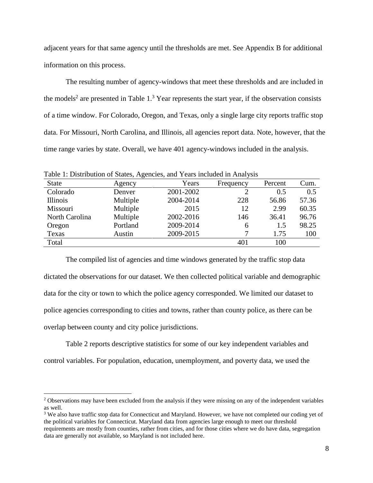adjacent years for that same agency until the thresholds are met. See Appendix B for additional information on this process.

The resulting number of agency-windows that meet these thresholds and are included in the models<sup>2</sup> are presented in Table  $1<sup>3</sup>$  Year represents the start year, if the observation consists of a time window. For Colorado, Oregon, and Texas, only a single large city reports traffic stop data. For Missouri, North Carolina, and Illinois, all agencies report data. Note, however, that the time range varies by state. Overall, we have 401 agency-windows included in the analysis.

| Tuene 11 D'homouron or Banco, rigenero, and Tears meraded in Finaryons<br><b>State</b> | Agency   | Years     | Frequency | Percent | Cum.  |
|----------------------------------------------------------------------------------------|----------|-----------|-----------|---------|-------|
| Colorado                                                                               | Denver   | 2001-2002 |           | 0.5     | 0.5   |
| Illinois                                                                               | Multiple | 2004-2014 | 228       | 56.86   | 57.36 |
| Missouri                                                                               | Multiple | 2015      | 12        | 2.99    | 60.35 |
| North Carolina                                                                         | Multiple | 2002-2016 | 146       | 36.41   | 96.76 |
| Oregon                                                                                 | Portland | 2009-2014 | 6         | 1.5     | 98.25 |
| Texas                                                                                  | Austin   | 2009-2015 |           | 1.75    | 100   |
| Total                                                                                  |          |           | 401       | 100     |       |

Table 1: Distribution of States, Agencies, and Years included in Analysis

The compiled list of agencies and time windows generated by the traffic stop data dictated the observations for our dataset. We then collected political variable and demographic data for the city or town to which the police agency corresponded. We limited our dataset to police agencies corresponding to cities and towns, rather than county police, as there can be overlap between county and city police jurisdictions.

Table 2 reports descriptive statistics for some of our key independent variables and control variables. For population, education, unemployment, and poverty data, we used the

 $\overline{a}$ 

<sup>3</sup> We also have traffic stop data for Connecticut and Maryland. However, we have not completed our coding yet of the political variables for Connecticut. Maryland data from agencies large enough to meet our threshold requirements are mostly from counties, rather from cities, and for those cities where we do have data, segregation data are generally not available, so Maryland is not included here.

<sup>&</sup>lt;sup>2</sup> Observations may have been excluded from the analysis if they were missing on any of the independent variables as well.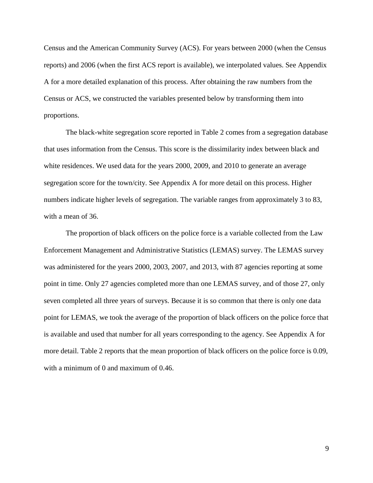Census and the American Community Survey (ACS). For years between 2000 (when the Census reports) and 2006 (when the first ACS report is available), we interpolated values. See Appendix A for a more detailed explanation of this process. After obtaining the raw numbers from the Census or ACS, we constructed the variables presented below by transforming them into proportions.

The black-white segregation score reported in Table 2 comes from a segregation database that uses information from the Census. This score is the dissimilarity index between black and white residences. We used data for the years 2000, 2009, and 2010 to generate an average segregation score for the town/city. See Appendix A for more detail on this process. Higher numbers indicate higher levels of segregation. The variable ranges from approximately 3 to 83, with a mean of 36.

The proportion of black officers on the police force is a variable collected from the Law Enforcement Management and Administrative Statistics (LEMAS) survey. The LEMAS survey was administered for the years 2000, 2003, 2007, and 2013, with 87 agencies reporting at some point in time. Only 27 agencies completed more than one LEMAS survey, and of those 27, only seven completed all three years of surveys. Because it is so common that there is only one data point for LEMAS, we took the average of the proportion of black officers on the police force that is available and used that number for all years corresponding to the agency. See Appendix A for more detail. Table 2 reports that the mean proportion of black officers on the police force is 0.09, with a minimum of 0 and maximum of 0.46.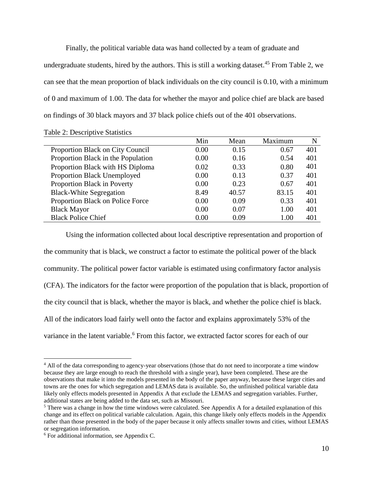Finally, the political variable data was hand collected by a team of graduate and undergraduate students, hired by the authors. This is still a working dataset.<sup>45</sup> From Table 2, we can see that the mean proportion of black individuals on the city council is 0.10, with a minimum of 0 and maximum of 1.00. The data for whether the mayor and police chief are black are based on findings of 30 black mayors and 37 black police chiefs out of the 401 observations.

|                                    | Min  | Mean  | Maximum | N   |
|------------------------------------|------|-------|---------|-----|
| Proportion Black on City Council   | 0.00 | 0.15  | 0.67    | 401 |
| Proportion Black in the Population | 0.00 | 0.16  | 0.54    | 401 |
| Proportion Black with HS Diploma   | 0.02 | 0.33  | 0.80    | 401 |
| Proportion Black Unemployed        | 0.00 | 0.13  | 0.37    | 401 |
| Proportion Black in Poverty        | 0.00 | 0.23  | 0.67    | 401 |
| <b>Black-White Segregation</b>     | 8.49 | 40.57 | 83.15   | 401 |
| Proportion Black on Police Force   | 0.00 | 0.09  | 0.33    | 401 |
| <b>Black Mayor</b>                 | 0.00 | 0.07  | 1.00    | 401 |
| <b>Black Police Chief</b>          | 0.00 | 0.09  | 1.00    | 401 |

Table 2: Descriptive Statistics

Using the information collected about local descriptive representation and proportion of the community that is black, we construct a factor to estimate the political power of the black community. The political power factor variable is estimated using confirmatory factor analysis (CFA). The indicators for the factor were proportion of the population that is black, proportion of the city council that is black, whether the mayor is black, and whether the police chief is black. All of the indicators load fairly well onto the factor and explains approximately 53% of the variance in the latent variable.<sup>6</sup> From this factor, we extracted factor scores for each of our

 $\overline{a}$ 

<sup>&</sup>lt;sup>4</sup> All of the data corresponding to agency-year observations (those that do not need to incorporate a time window because they are large enough to reach the threshold with a single year), have been completed. These are the observations that make it into the models presented in the body of the paper anyway, because these larger cities and towns are the ones for which segregation and LEMAS data is available. So, the unfinished political variable data likely only effects models presented in Appendix A that exclude the LEMAS and segregation variables. Further, additional states are being added to the data set, such as Missouri.

<sup>&</sup>lt;sup>5</sup> There was a change in how the time windows were calculated. See Appendix A for a detailed explanation of this change and its effect on political variable calculation. Again, this change likely only effects models in the Appendix rather than those presented in the body of the paper because it only affects smaller towns and cities, without LEMAS or segregation information.

<sup>6</sup> For additional information, see Appendix C.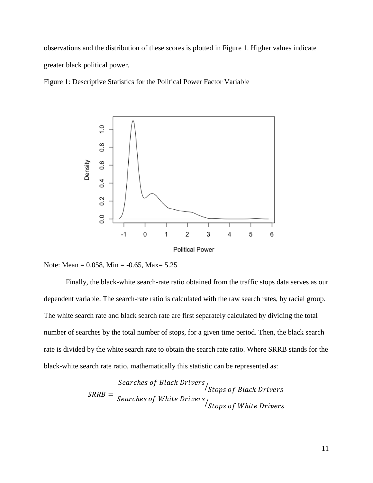observations and the distribution of these scores is plotted in Figure 1. Higher values indicate greater black political power.

Figure 1: Descriptive Statistics for the Political Power Factor Variable





Finally, the black-white search-rate ratio obtained from the traffic stops data serves as our dependent variable. The search-rate ratio is calculated with the raw search rates, by racial group. The white search rate and black search rate are first separately calculated by dividing the total number of searches by the total number of stops, for a given time period. Then, the black search rate is divided by the white search rate to obtain the search rate ratio. Where SRRB stands for the black-white search rate ratio, mathematically this statistic can be represented as:

$$
SRRB = \frac{Searches \ of \ Black \ Drivers}{Searches \ of \ White \ Drivers} / \frac{Stops \ of \ Black \ Drivers}{Stops \ of \ White \ Drivers}
$$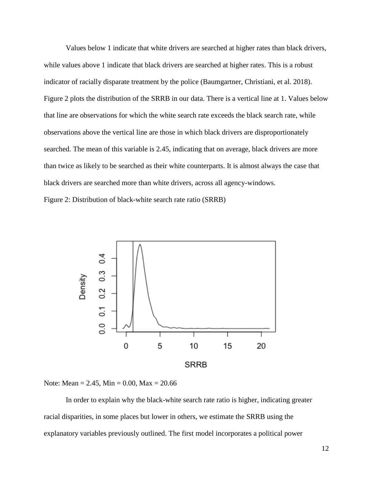Values below 1 indicate that white drivers are searched at higher rates than black drivers, while values above 1 indicate that black drivers are searched at higher rates. This is a robust indicator of racially disparate treatment by the police (Baumgartner, Christiani, et al. 2018). Figure 2 plots the distribution of the SRRB in our data. There is a vertical line at 1. Values below that line are observations for which the white search rate exceeds the black search rate, while observations above the vertical line are those in which black drivers are disproportionately searched. The mean of this variable is 2.45, indicating that on average, black drivers are more than twice as likely to be searched as their white counterparts. It is almost always the case that black drivers are searched more than white drivers, across all agency-windows.

Figure 2: Distribution of black-white search rate ratio (SRRB)



Note: Mean = 2.45, Min = 0.00, Max = 20.66

In order to explain why the black-white search rate ratio is higher, indicating greater racial disparities, in some places but lower in others, we estimate the SRRB using the explanatory variables previously outlined. The first model incorporates a political power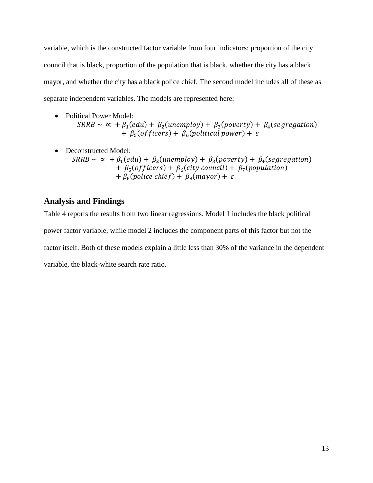variable, which is the constructed factor variable from four indicators: proportion of the city council that is black, proportion of the population that is black, whether the city has a black mayor, and whether the city has a black police chief. The second model includes all of these as separate independent variables. The models are represented here:

- Political Power Model:  $SRRB \sim \alpha + \beta_1(edu) + \beta_2(un employ) + \beta_3(poverty) + \beta_4(segregation)$ +  $\beta_5(officers)$  +  $\beta_6(political power)$  +  $\varepsilon$
- Deconstructed Model:  $SRRB \sim \alpha + \beta_1(edu) + \beta_2(un employ) + \beta_3(poverty) + \beta_4(segregation)$ +  $\beta_5(officers)$  +  $\beta_6(city \text{ council})$  +  $\beta_7(population)$ +  $\beta_8$ (police chief) +  $\beta_9$ (mayor) +  $\varepsilon$

# **Analysis and Findings**

Table 4 reports the results from two linear regressions. Model 1 includes the black political power factor variable, while model 2 includes the component parts of this factor but not the factor itself. Both of these models explain a little less than 30% of the variance in the dependent variable, the black-white search rate ratio.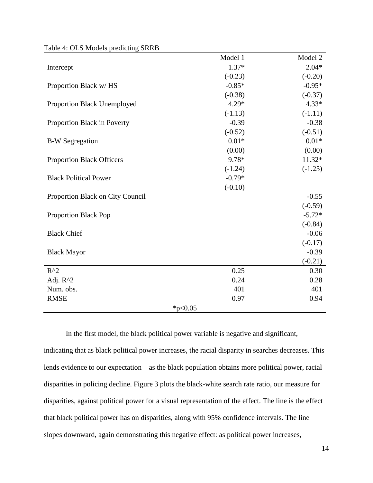|                                  | Model 1   | Model 2   |  |  |
|----------------------------------|-----------|-----------|--|--|
| Intercept                        | $1.37*$   | $2.04*$   |  |  |
|                                  | $(-0.23)$ | $(-0.20)$ |  |  |
| Proportion Black w/HS            | $-0.85*$  | $-0.95*$  |  |  |
|                                  | $(-0.38)$ | $(-0.37)$ |  |  |
| Proportion Black Unemployed      | $4.29*$   | $4.33*$   |  |  |
|                                  | $(-1.13)$ | $(-1.11)$ |  |  |
| Proportion Black in Poverty      | $-0.39$   | $-0.38$   |  |  |
|                                  | $(-0.52)$ | $(-0.51)$ |  |  |
| <b>B-W</b> Segregation           | $0.01*$   | $0.01*$   |  |  |
|                                  | (0.00)    | (0.00)    |  |  |
| <b>Proportion Black Officers</b> | 9.78*     | 11.32*    |  |  |
|                                  | $(-1.24)$ | $(-1.25)$ |  |  |
| <b>Black Political Power</b>     | $-0.79*$  |           |  |  |
|                                  | $(-0.10)$ |           |  |  |
| Proportion Black on City Council |           | $-0.55$   |  |  |
|                                  |           | $(-0.59)$ |  |  |
| <b>Proportion Black Pop</b>      |           | $-5.72*$  |  |  |
|                                  |           | $(-0.84)$ |  |  |
| <b>Black Chief</b>               |           | $-0.06$   |  |  |
|                                  |           | $(-0.17)$ |  |  |
| <b>Black Mayor</b>               |           | $-0.39$   |  |  |
|                                  |           | $(-0.21)$ |  |  |
| $R^{\wedge}2$                    | 0.25      | 0.30      |  |  |
| Adj. R^2                         | 0.24      | 0.28      |  |  |
| Num. obs.                        | 401       | 401       |  |  |
| <b>RMSE</b>                      | 0.97      | 0.94      |  |  |
| * $p<0.05$                       |           |           |  |  |

Table 4: OLS Models predicting SRRB

In the first model, the black political power variable is negative and significant,

indicating that as black political power increases, the racial disparity in searches decreases. This lends evidence to our expectation – as the black population obtains more political power, racial disparities in policing decline. Figure 3 plots the black-white search rate ratio, our measure for disparities, against political power for a visual representation of the effect. The line is the effect that black political power has on disparities, along with 95% confidence intervals. The line slopes downward, again demonstrating this negative effect: as political power increases,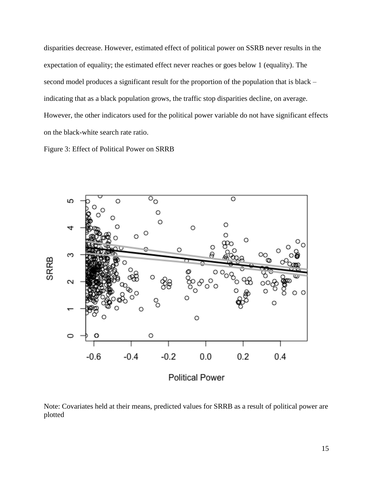disparities decrease. However, estimated effect of political power on SSRB never results in the expectation of equality; the estimated effect never reaches or goes below 1 (equality). The second model produces a significant result for the proportion of the population that is black – indicating that as a black population grows, the traffic stop disparities decline, on average. However, the other indicators used for the political power variable do not have significant effects on the black-white search rate ratio.

Figure 3: Effect of Political Power on SRRB



Note: Covariates held at their means, predicted values for SRRB as a result of political power are plotted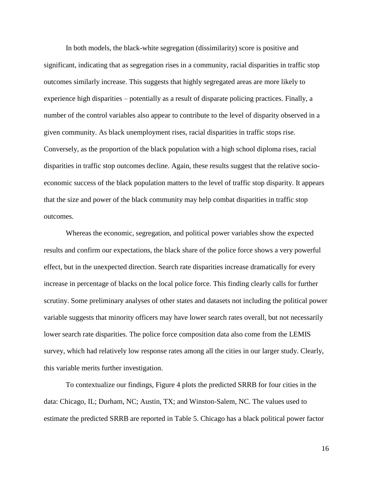In both models, the black-white segregation (dissimilarity) score is positive and significant, indicating that as segregation rises in a community, racial disparities in traffic stop outcomes similarly increase. This suggests that highly segregated areas are more likely to experience high disparities – potentially as a result of disparate policing practices. Finally, a number of the control variables also appear to contribute to the level of disparity observed in a given community. As black unemployment rises, racial disparities in traffic stops rise. Conversely, as the proportion of the black population with a high school diploma rises, racial disparities in traffic stop outcomes decline. Again, these results suggest that the relative socioeconomic success of the black population matters to the level of traffic stop disparity. It appears that the size and power of the black community may help combat disparities in traffic stop outcomes.

Whereas the economic, segregation, and political power variables show the expected results and confirm our expectations, the black share of the police force shows a very powerful effect, but in the unexpected direction. Search rate disparities increase dramatically for every increase in percentage of blacks on the local police force. This finding clearly calls for further scrutiny. Some preliminary analyses of other states and datasets not including the political power variable suggests that minority officers may have lower search rates overall, but not necessarily lower search rate disparities. The police force composition data also come from the LEMIS survey, which had relatively low response rates among all the cities in our larger study. Clearly, this variable merits further investigation.

To contextualize our findings, Figure 4 plots the predicted SRRB for four cities in the data: Chicago, IL; Durham, NC; Austin, TX; and Winston-Salem, NC. The values used to estimate the predicted SRRB are reported in Table 5. Chicago has a black political power factor

16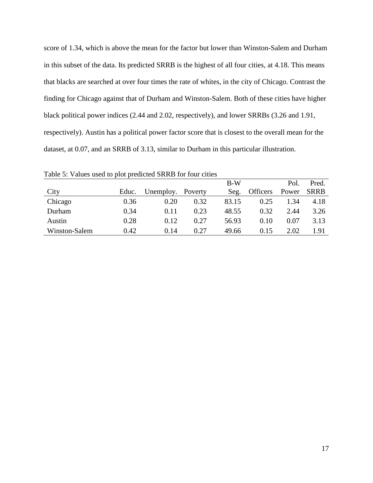score of 1.34, which is above the mean for the factor but lower than Winston-Salem and Durham in this subset of the data. Its predicted SRRB is the highest of all four cities, at 4.18. This means that blacks are searched at over four times the rate of whites, in the city of Chicago. Contrast the finding for Chicago against that of Durham and Winston-Salem. Both of these cities have higher black political power indices (2.44 and 2.02, respectively), and lower SRRBs (3.26 and 1.91, respectively). Austin has a political power factor score that is closest to the overall mean for the dataset, at 0.07, and an SRRB of 3.13, similar to Durham in this particular illustration.

|               |       |           |         | $B-W$ |                 | Pol.  | Pred.       |
|---------------|-------|-----------|---------|-------|-----------------|-------|-------------|
| City          | Educ. | Unemploy. | Poverty | Seg.  | <b>Officers</b> | Power | <b>SRRB</b> |
| Chicago       | 0.36  | 0.20      | 0.32    | 83.15 | 0.25            | 1.34  | 4.18        |
| Durham        | 0.34  | 0.11      | 0.23    | 48.55 | 0.32            | 2.44  | 3.26        |
| Austin        | 0.28  | 0.12      | 0.27    | 56.93 | 0.10            | 0.07  | 3.13        |
| Winston-Salem | 0.42  | 0.14      | 0.27    | 49.66 | 0.15            | 2.02  | 1.91        |

Table 5: Values used to plot predicted SRRB for four cities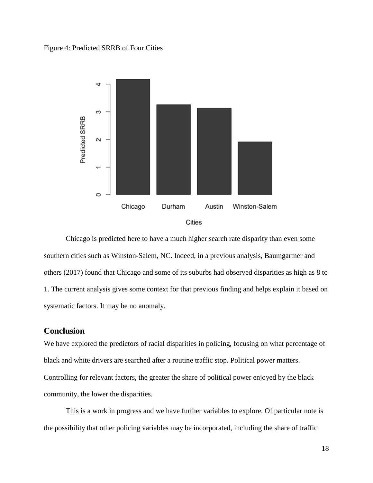### Figure 4: Predicted SRRB of Four Cities



Chicago is predicted here to have a much higher search rate disparity than even some southern cities such as Winston-Salem, NC. Indeed, in a previous analysis, Baumgartner and others (2017) found that Chicago and some of its suburbs had observed disparities as high as 8 to 1. The current analysis gives some context for that previous finding and helps explain it based on systematic factors. It may be no anomaly.

## **Conclusion**

We have explored the predictors of racial disparities in policing, focusing on what percentage of black and white drivers are searched after a routine traffic stop. Political power matters. Controlling for relevant factors, the greater the share of political power enjoyed by the black community, the lower the disparities.

This is a work in progress and we have further variables to explore. Of particular note is the possibility that other policing variables may be incorporated, including the share of traffic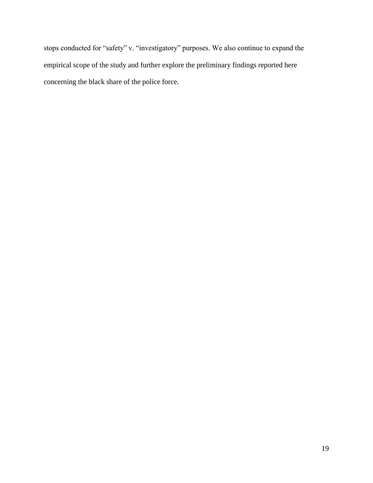stops conducted for "safety" v. "investigatory" purposes. We also continue to expand the empirical scope of the study and further explore the preliminary findings reported here concerning the black share of the police force.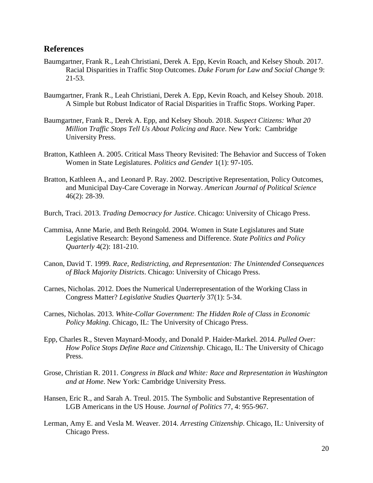## **References**

- Baumgartner, Frank R., Leah Christiani, Derek A. Epp, Kevin Roach, and Kelsey Shoub. 2017. Racial Disparities in Traffic Stop Outcomes. *Duke Forum for Law and Social Change* 9: 21-53.
- Baumgartner, Frank R., Leah Christiani, Derek A. Epp, Kevin Roach, and Kelsey Shoub. 2018. A Simple but Robust Indicator of Racial Disparities in Traffic Stops. Working Paper.
- Baumgartner, Frank R., Derek A. Epp, and Kelsey Shoub. 2018. *Suspect Citizens: What 20 Million Traffic Stops Tell Us About Policing and Race*. New York: Cambridge University Press.
- Bratton, Kathleen A. 2005. Critical Mass Theory Revisited: The Behavior and Success of Token Women in State Legislatures. *Politics and Gender* 1(1): 97-105.
- Bratton, Kathleen A., and Leonard P. Ray. 2002. Descriptive Representation, Policy Outcomes, and Municipal Day-Care Coverage in Norway. *American Journal of Political Science* 46(2): 28-39.
- Burch, Traci. 2013. *Trading Democracy for Justice*. Chicago: University of Chicago Press.
- Cammisa, Anne Marie, and Beth Reingold. 2004. Women in State Legislatures and State Legislative Research: Beyond Sameness and Difference. *State Politics and Policy Quarterly* 4(2): 181-210.
- Canon, David T. 1999. *Race, Redistricting, and Representation: The Unintended Consequences of Black Majority Districts*. Chicago: University of Chicago Press.
- Carnes, Nicholas. 2012. Does the Numerical Underrepresentation of the Working Class in Congress Matter? *Legislative Studies Quarterly* 37(1): 5-34.
- Carnes, Nicholas. 2013. *White-Collar Government: The Hidden Role of Class in Economic Policy Making*. Chicago, IL: The University of Chicago Press.
- Epp, Charles R., Steven Maynard-Moody, and Donald P. Haider-Markel. 2014. *Pulled Over: How Police Stops Define Race and Citizenship*. Chicago, IL: The University of Chicago Press.
- Grose, Christian R. 2011. *Congress in Black and White: Race and Representation in Washington and at Home*. New York: Cambridge University Press.
- Hansen, Eric R., and Sarah A. Treul. 2015. The Symbolic and Substantive Representation of LGB Americans in the US House. *Journal of Politics* 77, 4: 955-967.
- Lerman, Amy E. and Vesla M. Weaver. 2014. *Arresting Citizenship*. Chicago, IL: University of Chicago Press.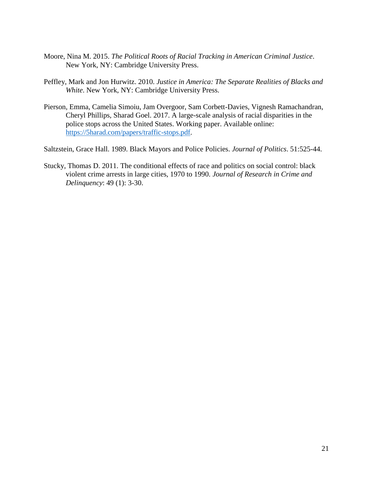- Moore, Nina M. 2015. *The Political Roots of Racial Tracking in American Criminal Justice*. New York, NY: Cambridge University Press.
- Peffley, Mark and Jon Hurwitz. 2010. *Justice in America: The Separate Realities of Blacks and White*. New York, NY: Cambridge University Press.
- Pierson, Emma, Camelia Simoiu, Jam Overgoor, Sam Corbett-Davies, Vignesh Ramachandran, Cheryl Phillips, Sharad Goel. 2017. A large-scale analysis of racial disparities in the police stops across the United States. Working paper. Available online: [https://5harad.com/papers/traffic-stops.pdf.](https://5harad.com/papers/traffic-stops.pdf)

Saltzstein, Grace Hall. 1989. Black Mayors and Police Policies. *Journal of Politics*. 51:525-44.

Stucky, Thomas D. 2011. The conditional effects of race and politics on social control: black violent crime arrests in large cities, 1970 to 1990. *Journal of Research in Crime and Delinquency*: 49 (1): 3-30.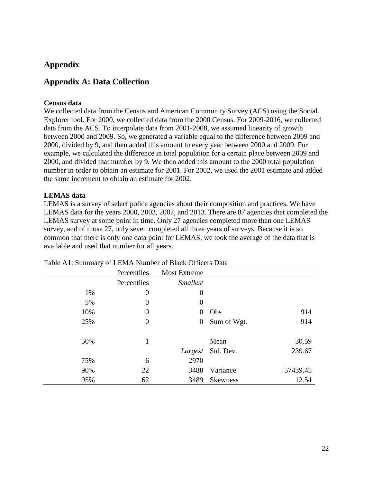# **Appendix**

# **Appendix A: Data Collection**

### **Census data**

We collected data from the Census and American Community Survey (ACS) using the Social Explorer tool. For 2000, we collected data from the 2000 Census. For 2009-2016, we collected data from the ACS. To interpolate data from 2001-2008, we assumed linearity of growth between 2000 and 2009. So, we generated a variable equal to the difference between 2009 and 2000, divided by 9, and then added this amount to every year between 2000 and 2009. For example, we calculated the difference in total population for a certain place between 2009 and 2000, and divided that number by 9. We then added this amount to the 2000 total population number in order to obtain an estimate for 2001. For 2002, we used the 2001 estimate and added the same increment to obtain an estimate for 2002.

### **LEMAS data**

LEMAS is a survey of select police agencies about their composition and practices. We have LEMAS data for the years 2000, 2003, 2007, and 2013. There are 87 agencies that completed the LEMAS survey at some point in time. Only 27 agencies completed more than one LEMAS survey, and of those 27, only seven completed all three years of surveys. Because it is so common that there is only one data point for LEMAS, we took the average of the data that is available and used that number for all years.

|     | Percentiles      | <b>Most Extreme</b> |                 |          |
|-----|------------------|---------------------|-----------------|----------|
|     | Percentiles      | <b>Smallest</b>     |                 |          |
| 1%  | $\overline{0}$   | $\theta$            |                 |          |
| 5%  | $\overline{0}$   | $\overline{0}$      |                 |          |
| 10% | $\overline{0}$   | $\theta$            | Obs             | 914      |
| 25% | $\boldsymbol{0}$ | $\boldsymbol{0}$    | Sum of Wgt.     | 914      |
| 50% | 1                |                     | Mean            | 30.59    |
|     |                  | Largest             | Std. Dev.       | 239.67   |
| 75% | 6                | 2970                |                 |          |
| 90% | 22               | 3488                | Variance        | 57439.45 |
| 95% | 62               | 3489                | <b>Skewness</b> | 12.54    |

| Table A1: Summary of LEMA Number of Black Officers Data |  |  |  |
|---------------------------------------------------------|--|--|--|
|---------------------------------------------------------|--|--|--|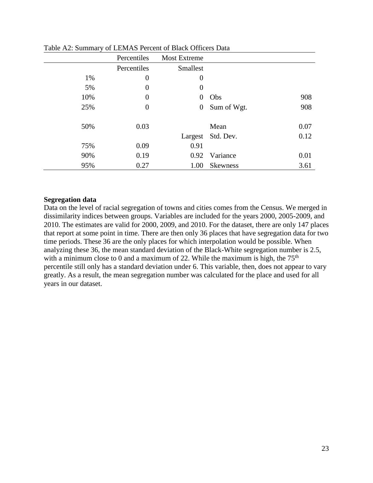|     | Percentiles      | <b>Most Extreme</b> |                 |      |
|-----|------------------|---------------------|-----------------|------|
|     | Percentiles      | <b>Smallest</b>     |                 |      |
| 1%  | $\boldsymbol{0}$ | $\boldsymbol{0}$    |                 |      |
| 5%  | $\boldsymbol{0}$ | $\boldsymbol{0}$    |                 |      |
| 10% | $\boldsymbol{0}$ | $\overline{0}$      | Obs             | 908  |
| 25% | $\boldsymbol{0}$ | $\boldsymbol{0}$    | Sum of Wgt.     | 908  |
| 50% | 0.03             |                     | Mean            | 0.07 |
|     |                  | Largest             | Std. Dev.       | 0.12 |
| 75% | 0.09             | 0.91                |                 |      |
| 90% | 0.19             | 0.92                | Variance        | 0.01 |
| 95% | 0.27             | 1.00                | <b>Skewness</b> | 3.61 |

Table A2: Summary of LEMAS Percent of Black Officers Data

#### **Segregation data**

Data on the level of racial segregation of towns and cities comes from the Census. We merged in dissimilarity indices between groups. Variables are included for the years 2000, 2005-2009, and 2010. The estimates are valid for 2000, 2009, and 2010. For the dataset, there are only 147 places that report at some point in time. There are then only 36 places that have segregation data for two time periods. These 36 are the only places for which interpolation would be possible. When analyzing these 36, the mean standard deviation of the Black-White segregation number is 2.5, with a minimum close to 0 and a maximum of 22. While the maximum is high, the  $75<sup>th</sup>$ percentile still only has a standard deviation under 6. This variable, then, does not appear to vary greatly. As a result, the mean segregation number was calculated for the place and used for all years in our dataset.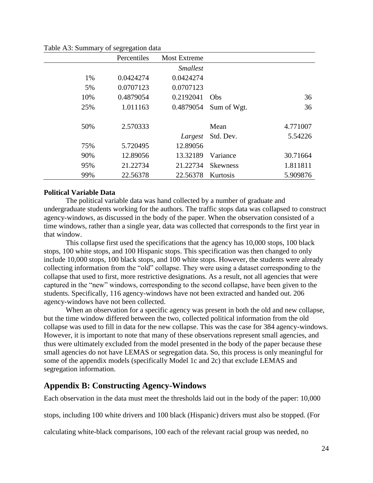|     | Percentiles | <b>Most Extreme</b> |                 |          |
|-----|-------------|---------------------|-----------------|----------|
|     |             | <i>Smallest</i>     |                 |          |
| 1%  | 0.0424274   | 0.0424274           |                 |          |
| 5%  | 0.0707123   | 0.0707123           |                 |          |
| 10% | 0.4879054   | 0.2192041           | Obs             | 36       |
| 25% | 1.011163    | 0.4879054           | Sum of Wgt.     | 36       |
|     |             |                     |                 |          |
| 50% | 2.570333    |                     | Mean            | 4.771007 |
|     |             | Largest             | Std. Dev.       | 5.54226  |
| 75% | 5.720495    | 12.89056            |                 |          |
| 90% | 12.89056    | 13.32189            | Variance        | 30.71664 |
| 95% | 21.22734    | 21.22734            | <b>Skewness</b> | 1.811811 |
| 99% | 22.56378    | 22.56378            | Kurtosis        | 5.909876 |

Table A3: Summary of segregation data

### **Political Variable Data**

The political variable data was hand collected by a number of graduate and undergraduate students working for the authors. The traffic stops data was collapsed to construct agency-windows, as discussed in the body of the paper. When the observation consisted of a time windows, rather than a single year, data was collected that corresponds to the first year in that window.

This collapse first used the specifications that the agency has 10,000 stops, 100 black stops, 100 white stops, and 100 Hispanic stops. This specification was then changed to only include 10,000 stops, 100 black stops, and 100 white stops. However, the students were already collecting information from the "old" collapse. They were using a dataset corresponding to the collapse that used to first, more restrictive designations. As a result, not all agencies that were captured in the "new" windows, corresponding to the second collapse, have been given to the students. Specifically, 116 agency-windows have not been extracted and handed out. 206 agency-windows have not been collected.

When an observation for a specific agency was present in both the old and new collapse, but the time window differed between the two, collected political information from the old collapse was used to fill in data for the new collapse. This was the case for 384 agency-windows. However, it is important to note that many of these observations represent small agencies, and thus were ultimately excluded from the model presented in the body of the paper because these small agencies do not have LEMAS or segregation data. So, this process is only meaningful for some of the appendix models (specifically Model 1c and 2c) that exclude LEMAS and segregation information.

## **Appendix B: Constructing Agency-Windows**

Each observation in the data must meet the thresholds laid out in the body of the paper: 10,000

stops, including 100 white drivers and 100 black (Hispanic) drivers must also be stopped. (For

calculating white-black comparisons, 100 each of the relevant racial group was needed, no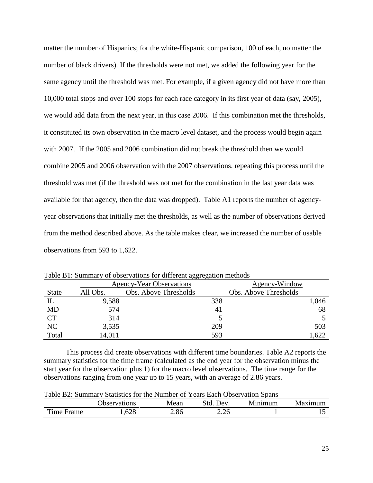matter the number of Hispanics; for the white-Hispanic comparison, 100 of each, no matter the number of black drivers). If the thresholds were not met, we added the following year for the same agency until the threshold was met. For example, if a given agency did not have more than 10,000 total stops and over 100 stops for each race category in its first year of data (say, 2005), we would add data from the next year, in this case 2006. If this combination met the thresholds, it constituted its own observation in the macro level dataset, and the process would begin again with 2007. If the 2005 and 2006 combination did not break the threshold then we would combine 2005 and 2006 observation with the 2007 observations, repeating this process until the threshold was met (if the threshold was not met for the combination in the last year data was available for that agency, then the data was dropped). Table A1 reports the number of agencyyear observations that initially met the thresholds, as well as the number of observations derived from the method described above. As the table makes clear, we increased the number of usable observations from 593 to 1,622.

|              |          | 00- 00                          |     |                       |
|--------------|----------|---------------------------------|-----|-----------------------|
|              |          | <b>Agency-Year Observations</b> |     | Agency-Window         |
| <b>State</b> | All Obs. | Obs. Above Thresholds           |     | Obs. Above Thresholds |
| $_{\rm IL}$  | 9,588    |                                 | 338 | 1,046                 |
| <b>MD</b>    | 574      |                                 | 41  | 68                    |
| <b>CT</b>    | 314      |                                 |     |                       |
| NC           | 3.535    |                                 | 209 | 503                   |
| Total        | 14,011   |                                 | 593 | ,622                  |

Table B1: Summary of observations for different aggregation methods

This process did create observations with different time boundaries. Table A2 reports the summary statistics for the time frame (calculated as the end year for the observation minus the start year for the observation plus 1) for the macro level observations. The time range for the observations ranging from one year up to 15 years, with an average of 2.86 years.

Table B2: Summary Statistics for the Number of Years Each Observation Spans

|                                                   | <b>Jbservations</b> | Mean | Std<br>Dev. | Minimum | Maximum |
|---------------------------------------------------|---------------------|------|-------------|---------|---------|
| $\mathbf{m}$<br>$^{\prime}$ ime $\lceil$<br>Frame | .628                | 2.86 | 2.26        |         | ⊥ັ      |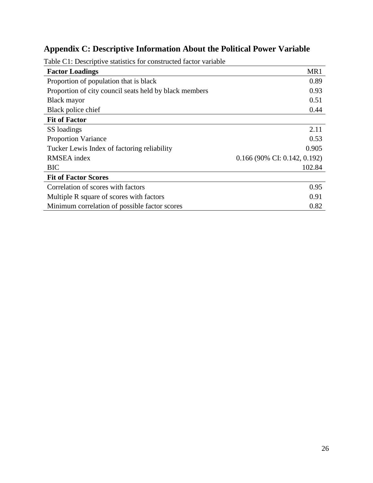# **Appendix C: Descriptive Information About the Political Power Variable**

| <b>Factor Loadings</b>                                 | MR1                            |
|--------------------------------------------------------|--------------------------------|
| Proportion of population that is black                 | 0.89                           |
| Proportion of city council seats held by black members | 0.93                           |
| Black mayor                                            | 0.51                           |
| Black police chief                                     | 0.44                           |
| <b>Fit of Factor</b>                                   |                                |
| SS loadings                                            | 2.11                           |
| <b>Proportion Variance</b>                             | 0.53                           |
| Tucker Lewis Index of factoring reliability            | 0.905                          |
| RMSEA index                                            | $0.166$ (90% CI: 0.142, 0.192) |
| <b>BIC</b>                                             | 102.84                         |
| <b>Fit of Factor Scores</b>                            |                                |
| Correlation of scores with factors                     | 0.95                           |
| Multiple R square of scores with factors               | 0.91                           |
| Minimum correlation of possible factor scores          | 0.82                           |

Table C1: Descriptive statistics for constructed factor variable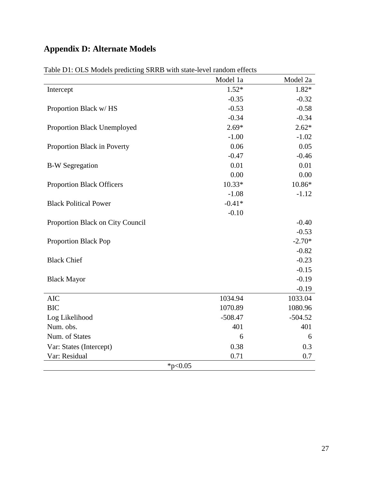# **Appendix D: Alternate Models**

|                                  | Model 1a  | Model 2a  |  |  |
|----------------------------------|-----------|-----------|--|--|
| Intercept                        | $1.52*$   | $1.82*$   |  |  |
|                                  | $-0.35$   | $-0.32$   |  |  |
| Proportion Black w/HS            | $-0.53$   | $-0.58$   |  |  |
|                                  | $-0.34$   | $-0.34$   |  |  |
| Proportion Black Unemployed      | $2.69*$   | $2.62*$   |  |  |
|                                  | $-1.00$   | $-1.02$   |  |  |
| Proportion Black in Poverty      | 0.06      | 0.05      |  |  |
|                                  | $-0.47$   | $-0.46$   |  |  |
| <b>B-W</b> Segregation           | 0.01      | 0.01      |  |  |
|                                  | 0.00      | 0.00      |  |  |
| <b>Proportion Black Officers</b> | 10.33*    | $10.86*$  |  |  |
|                                  | $-1.08$   | $-1.12$   |  |  |
| <b>Black Political Power</b>     | $-0.41*$  |           |  |  |
|                                  | $-0.10$   |           |  |  |
| Proportion Black on City Council |           | $-0.40$   |  |  |
|                                  |           | $-0.53$   |  |  |
| <b>Proportion Black Pop</b>      |           | $-2.70*$  |  |  |
|                                  |           | $-0.82$   |  |  |
| <b>Black Chief</b>               |           | $-0.23$   |  |  |
|                                  |           | $-0.15$   |  |  |
| <b>Black Mayor</b>               |           | $-0.19$   |  |  |
|                                  |           | $-0.19$   |  |  |
| <b>AIC</b>                       | 1034.94   | 1033.04   |  |  |
| <b>BIC</b>                       | 1070.89   | 1080.96   |  |  |
| Log Likelihood                   | $-508.47$ | $-504.52$ |  |  |
| Num. obs.                        | 401       | 401       |  |  |
| Num. of States                   | 6         | 6         |  |  |
| Var: States (Intercept)          | 0.38      | 0.3       |  |  |
| Var: Residual                    | 0.71      | 0.7       |  |  |
| * $p<0.05$                       |           |           |  |  |

Table D1: OLS Models predicting SRRB with state-level random effects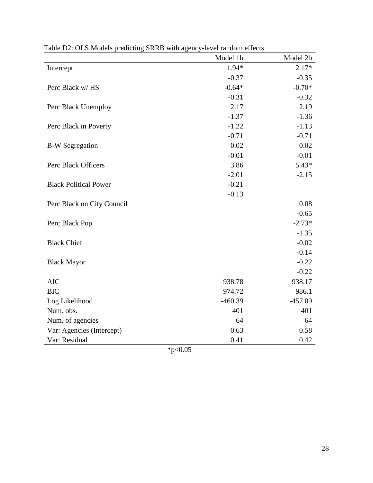|                              | Model 1b  | Model 2b  |
|------------------------------|-----------|-----------|
| Intercept                    | 1.94*     | $2.17*$   |
|                              | $-0.37$   | $-0.35$   |
| Perc Black w/HS              | $-0.64*$  | $-0.70*$  |
|                              | $-0.31$   | $-0.32$   |
| Perc Black Unemploy          | 2.17      | 2.19      |
|                              | $-1.37$   | $-1.36$   |
| Perc Black in Poverty        | $-1.22$   | $-1.13$   |
|                              | $-0.71$   | $-0.71$   |
| <b>B-W Segregation</b>       | 0.02      | 0.02      |
|                              | $-0.01$   | $-0.01$   |
| Perc Black Officers          | 3.86      | $5.43*$   |
|                              | $-2.01$   | $-2.15$   |
| <b>Black Political Power</b> | $-0.21$   |           |
|                              | $-0.13$   |           |
| Perc Black on City Council   |           | 0.08      |
|                              |           | $-0.65$   |
| Perc Black Pop               |           | $-2.73*$  |
|                              |           | $-1.35$   |
| <b>Black Chief</b>           |           | $-0.02$   |
|                              |           | $-0.14$   |
| <b>Black Mayor</b>           |           | $-0.22$   |
|                              |           | $-0.22$   |
| <b>AIC</b>                   | 938.78    | 938.17    |
| <b>BIC</b>                   | 974.72    | 986.1     |
| Log Likelihood               | $-460.39$ | $-457.09$ |
| Num. obs.                    | 401       | 401       |
| Num. of agencies             | 64        | 64        |
| Var: Agencies (Intercept)    | 0.63      | 0.58      |
| Var: Residual                | 0.41      | 0.42      |
| *p<0.05                      |           |           |

Table D2: OLS Models predicting SRRB with agency-level random effects